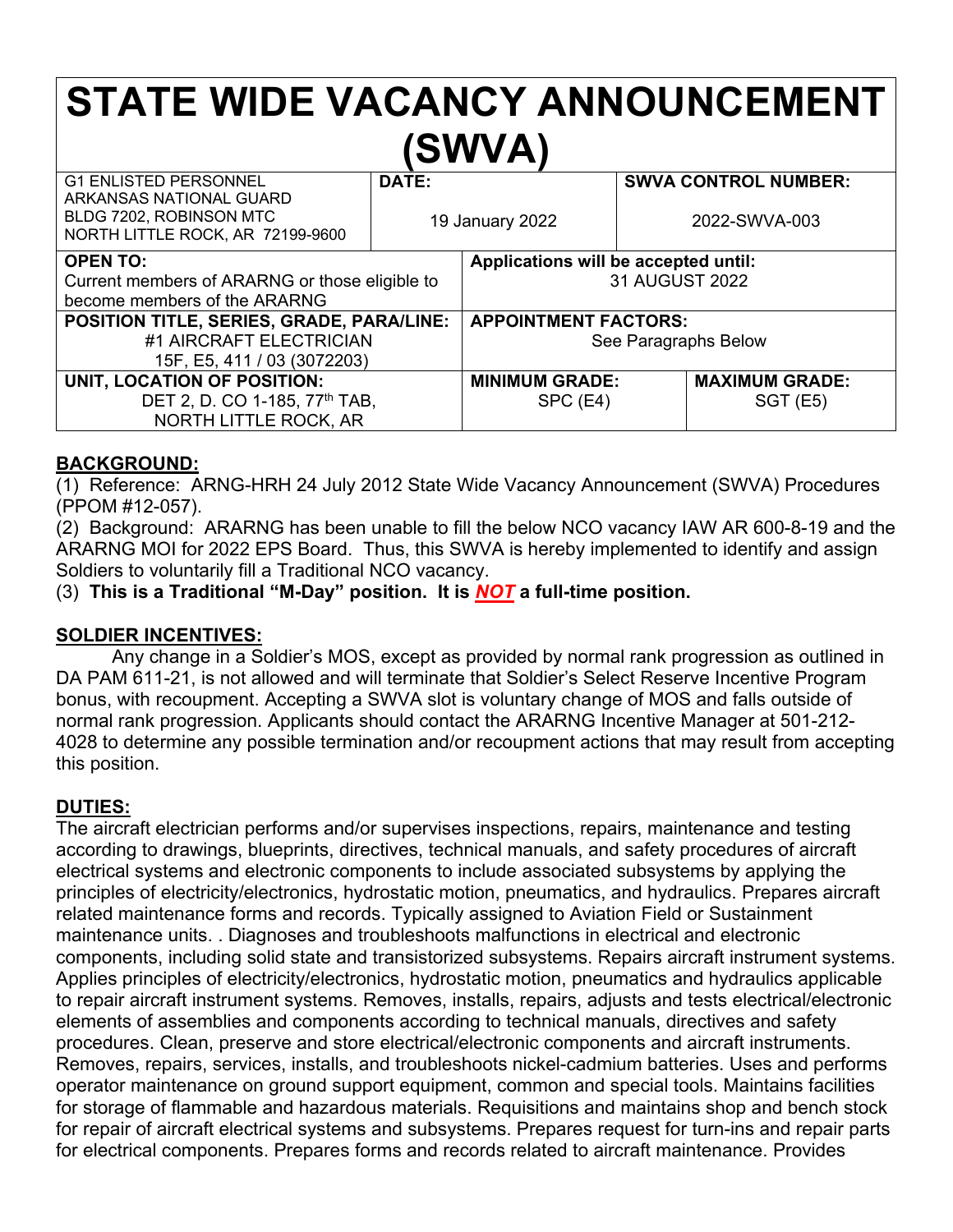# **STATE WIDE VACANCY ANNOUNCEMENT (SWVA)**

| <b>G1 ENLISTED PERSONNEL</b><br>ARKANSAS NATIONAL GUARD<br>BLDG 7202, ROBINSON MTC<br>NORTH LITTLE ROCK, AR 72199-9600 | DATE:<br>19 January 2022 |                                                        | <b>SWVA CONTROL NUMBER:</b><br>2022-SWVA-003 |                                  |
|------------------------------------------------------------------------------------------------------------------------|--------------------------|--------------------------------------------------------|----------------------------------------------|----------------------------------|
| <b>OPEN TO:</b><br>Current members of ARARNG or those eligible to<br>become members of the ARARNG                      |                          | Applications will be accepted until:<br>31 AUGUST 2022 |                                              |                                  |
| POSITION TITLE, SERIES, GRADE, PARA/LINE:<br>#1 AIRCRAFT ELECTRICIAN<br>15F, E5, 411 / 03 (3072203)                    |                          | <b>APPOINTMENT FACTORS:</b><br>See Paragraphs Below    |                                              |                                  |
| UNIT, LOCATION OF POSITION:<br>DET 2, D. CO 1-185, 77 <sup>th</sup> TAB,<br>NORTH LITTLE ROCK, AR                      |                          | <b>MINIMUM GRADE:</b><br>SPC (E4)                      |                                              | <b>MAXIMUM GRADE:</b><br>SGT(E5) |

### **BACKGROUND:**

(1) Reference: ARNG-HRH 24 July 2012 State Wide Vacancy Announcement (SWVA) Procedures (PPOM #12-057).

(2) Background: ARARNG has been unable to fill the below NCO vacancy IAW AR 600-8-19 and the ARARNG MOI for 2022 EPS Board. Thus, this SWVA is hereby implemented to identify and assign Soldiers to voluntarily fill a Traditional NCO vacancy.

(3) **This is a Traditional "M-Day" position. It is** *NOT* **a full-time position.**

### **SOLDIER INCENTIVES:**

Any change in a Soldier's MOS, except as provided by normal rank progression as outlined in DA PAM 611-21, is not allowed and will terminate that Soldier's Select Reserve Incentive Program bonus, with recoupment. Accepting a SWVA slot is voluntary change of MOS and falls outside of normal rank progression. Applicants should contact the ARARNG Incentive Manager at 501-212- 4028 to determine any possible termination and/or recoupment actions that may result from accepting this position.

### **DUTIES:**

The aircraft electrician performs and/or supervises inspections, repairs, maintenance and testing according to drawings, blueprints, directives, technical manuals, and safety procedures of aircraft electrical systems and electronic components to include associated subsystems by applying the principles of electricity/electronics, hydrostatic motion, pneumatics, and hydraulics. Prepares aircraft related maintenance forms and records. Typically assigned to Aviation Field or Sustainment maintenance units. . Diagnoses and troubleshoots malfunctions in electrical and electronic components, including solid state and transistorized subsystems. Repairs aircraft instrument systems. Applies principles of electricity/electronics, hydrostatic motion, pneumatics and hydraulics applicable to repair aircraft instrument systems. Removes, installs, repairs, adjusts and tests electrical/electronic elements of assemblies and components according to technical manuals, directives and safety procedures. Clean, preserve and store electrical/electronic components and aircraft instruments. Removes, repairs, services, installs, and troubleshoots nickel-cadmium batteries. Uses and performs operator maintenance on ground support equipment, common and special tools. Maintains facilities for storage of flammable and hazardous materials. Requisitions and maintains shop and bench stock for repair of aircraft electrical systems and subsystems. Prepares request for turn-ins and repair parts for electrical components. Prepares forms and records related to aircraft maintenance. Provides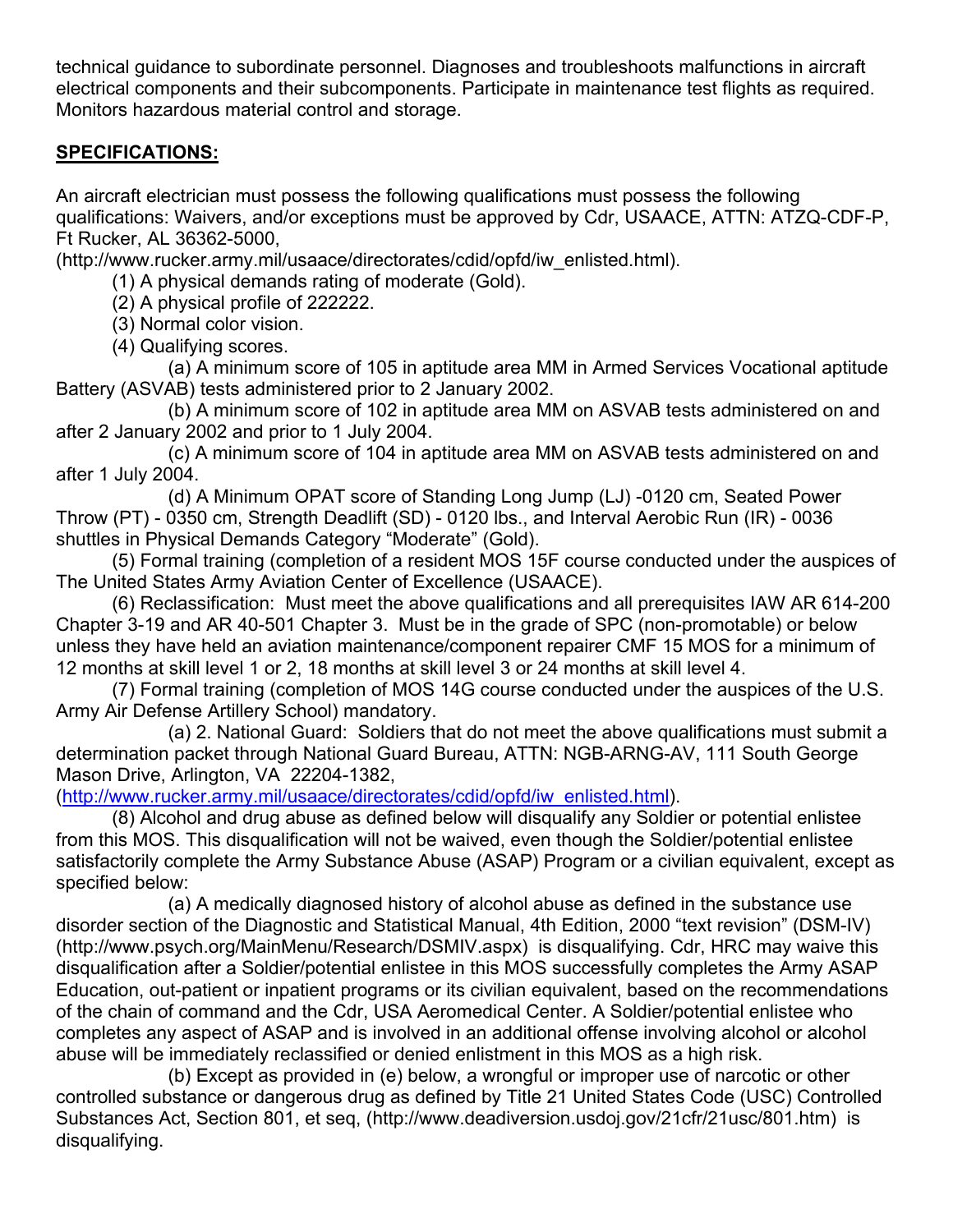technical guidance to subordinate personnel. Diagnoses and troubleshoots malfunctions in aircraft electrical components and their subcomponents. Participate in maintenance test flights as required. Monitors hazardous material control and storage.

### **SPECIFICATIONS:**

An aircraft electrician must possess the following qualifications must possess the following qualifications: Waivers, and/or exceptions must be approved by Cdr, USAACE, ATTN: ATZQ-CDF-P, Ft Rucker, AL 36362-5000,

(http://www.rucker.army.mil/usaace/directorates/cdid/opfd/iw\_enlisted.html).

(1) A physical demands rating of moderate (Gold).

(2) A physical profile of 222222.

(3) Normal color vision.

(4) Qualifying scores.

(a) A minimum score of 105 in aptitude area MM in Armed Services Vocational aptitude Battery (ASVAB) tests administered prior to 2 January 2002.

(b) A minimum score of 102 in aptitude area MM on ASVAB tests administered on and after 2 January 2002 and prior to 1 July 2004.

(c) A minimum score of 104 in aptitude area MM on ASVAB tests administered on and after 1 July 2004.

(d) A Minimum OPAT score of Standing Long Jump (LJ) -0120 cm, Seated Power Throw (PT) - 0350 cm, Strength Deadlift (SD) - 0120 lbs., and Interval Aerobic Run (IR) - 0036 shuttles in Physical Demands Category "Moderate" (Gold).

(5) Formal training (completion of a resident MOS 15F course conducted under the auspices of The United States Army Aviation Center of Excellence (USAACE).

(6) Reclassification: Must meet the above qualifications and all prerequisites IAW AR 614-200 Chapter 3-19 and AR 40-501 Chapter 3. Must be in the grade of SPC (non-promotable) or below unless they have held an aviation maintenance/component repairer CMF 15 MOS for a minimum of 12 months at skill level 1 or 2, 18 months at skill level 3 or 24 months at skill level 4.

(7) Formal training (completion of MOS 14G course conducted under the auspices of the U.S. Army Air Defense Artillery School) mandatory.

(a) 2. National Guard: Soldiers that do not meet the above qualifications must submit a determination packet through National Guard Bureau, ATTN: NGB-ARNG-AV, 111 South George Mason Drive, Arlington, VA 22204-1382,

[\(http://www.rucker.army.mil/usaace/directorates/cdid/opfd/iw\\_enlisted.html\)](http://www.rucker.army.mil/usaace/directorates/cdid/opfd/iw_enlisted.html).

(8) Alcohol and drug abuse as defined below will disqualify any Soldier or potential enlistee from this MOS. This disqualification will not be waived, even though the Soldier/potential enlistee satisfactorily complete the Army Substance Abuse (ASAP) Program or a civilian equivalent, except as specified below:

(a) A medically diagnosed history of alcohol abuse as defined in the substance use disorder section of the Diagnostic and Statistical Manual, 4th Edition, 2000 "text revision" (DSM-IV) (http://www.psych.org/MainMenu/Research/DSMIV.aspx) is disqualifying. Cdr, HRC may waive this disqualification after a Soldier/potential enlistee in this MOS successfully completes the Army ASAP Education, out-patient or inpatient programs or its civilian equivalent, based on the recommendations of the chain of command and the Cdr, USA Aeromedical Center. A Soldier/potential enlistee who completes any aspect of ASAP and is involved in an additional offense involving alcohol or alcohol abuse will be immediately reclassified or denied enlistment in this MOS as a high risk.

(b) Except as provided in (e) below, a wrongful or improper use of narcotic or other controlled substance or dangerous drug as defined by Title 21 United States Code (USC) Controlled Substances Act, Section 801, et seq, (http://www.deadiversion.usdoj.gov/21cfr/21usc/801.htm) is disqualifying.